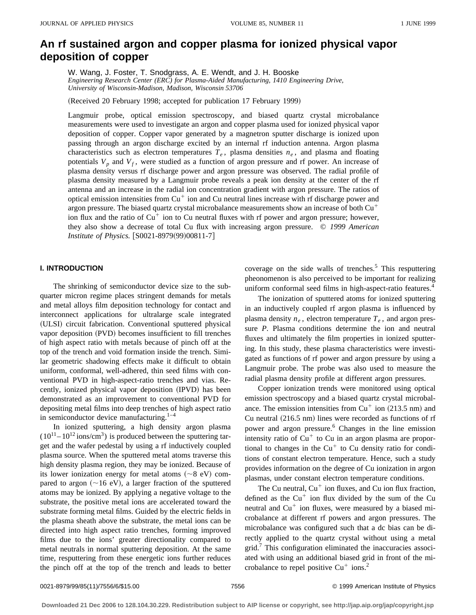# **An rf sustained argon and copper plasma for ionized physical vapor deposition of copper**

W. Wang, J. Foster, T. Snodgrass, A. E. Wendt, and J. H. Booske *Engineering Research Center (ERC) for Plasma-Aided Manufacturing, 1410 Engineering Drive, University of Wisconsin-Madison, Madison, Wisconsin 53706*

(Received 20 February 1998; accepted for publication 17 February 1999)

Langmuir probe, optical emission spectroscopy, and biased quartz crystal microbalance measurements were used to investigate an argon and copper plasma used for ionized physical vapor deposition of copper. Copper vapor generated by a magnetron sputter discharge is ionized upon passing through an argon discharge excited by an internal rf induction antenna. Argon plasma characteristics such as electron temperatures  $T_e$ , plasma densities  $n_e$ , and plasma and floating potentials  $V_p$  and  $V_f$ , were studied as a function of argon pressure and rf power. An increase of plasma density versus rf discharge power and argon pressure was observed. The radial profile of plasma density measured by a Langmuir probe reveals a peak ion density at the center of the rf antenna and an increase in the radial ion concentration gradient with argon pressure. The ratios of optical emission intensities from  $Cu<sup>+</sup>$  ion and Cu neutral lines increase with rf discharge power and argon pressure. The biased quartz crystal microbalance measurements show an increase of both  $Cu<sup>+</sup>$ ion flux and the ratio of  $Cu<sup>+</sup>$  ion to Cu neutral fluxes with rf power and argon pressure; however, they also show a decrease of total Cu flux with increasing argon pressure. © *1999 American Institute of Physics.* [S0021-8979(99)00811-7]

# **I. INTRODUCTION**

The shrinking of semiconductor device size to the subquarter micron regime places stringent demands for metals and metal alloys film deposition technology for contact and interconnect applications for ultralarge scale integrated (ULSI) circuit fabrication. Conventional sputtered physical vapor deposition (PVD) becomes insufficient to fill trenches of high aspect ratio with metals because of pinch off at the top of the trench and void formation inside the trench. Similar geometric shadowing effects make it difficult to obtain uniform, conformal, well-adhered, thin seed films with conventional PVD in high-aspect-ratio trenches and vias. Recently, ionized physical vapor deposition (IPVD) has been demonstrated as an improvement to conventional PVD for depositing metal films into deep trenches of high aspect ratio in semiconductor device manufacturing. $1-4$ 

In ionized sputtering, a high density argon plasma  $(10^{11} - 10^{12} \text{ ions/cm}^3)$  is produced between the sputtering target and the wafer pedestal by using a rf inductively coupled plasma source. When the sputtered metal atoms traverse this high density plasma region, they may be ionized. Because of its lower ionization energy for metal atoms  $(\sim 8 \text{ eV})$  compared to argon  $(\sim 16 \text{ eV})$ , a larger fraction of the sputtered atoms may be ionized. By applying a negative voltage to the substrate, the positive metal ions are accelerated toward the substrate forming metal films. Guided by the electric fields in the plasma sheath above the substrate, the metal ions can be directed into high aspect ratio trenches, forming improved films due to the ions' greater directionality compared to metal neutrals in normal sputtering deposition. At the same time, resputtering from these energetic ions further reduces the pinch off at the top of the trench and leads to better coverage on the side walls of trenches.<sup>5</sup> This resputtering pheonomenon is also perceived to be important for realizing uniform conformal seed films in high-aspect-ratio features.<sup>4</sup>

The ionization of sputtered atoms for ionized sputtering in an inductively coupled rf argon plasma is influenced by plasma density  $n_e$ , electron temperature  $T_e$ , and argon pressure *P*. Plasma conditions determine the ion and neutral fluxes and ultimately the film properties in ionized sputtering. In this study, these plasma characteristics were investigated as functions of rf power and argon pressure by using a Langmuir probe. The probe was also used to measure the radial plasma density profile at different argon pressures.

Copper ionization trends were monitored using optical emission spectroscopy and a biased quartz crystal microbalance. The emission intensities from  $Cu<sup>+</sup>$  ion (213.5 nm) and Cu neutral  $(216.5 \text{ nm})$  lines were recorded as functions of rf power and argon pressure.6 Changes in the line emission intensity ratio of  $Cu<sup>+</sup>$  to Cu in an argon plasma are proportional to changes in the  $Cu<sup>+</sup>$  to Cu density ratio for conditions of constant electron temperature. Hence, such a study provides information on the degree of Cu ionization in argon plasmas, under constant electron temperature conditions.

The Cu neutral,  $Cu<sup>+</sup>$  ion fluxes, and Cu ion flux fraction, defined as the  $Cu<sup>+</sup>$  ion flux divided by the sum of the Cu neutral and  $Cu<sup>+</sup>$  ion fluxes, were measured by a biased microbalance at different rf powers and argon pressures. The microbalance was configured such that a dc bias can be directly applied to the quartz crystal without using a metal grid.<sup>7</sup> This configuration eliminated the inaccuracies associated with using an additional biased grid in front of the microbalance to repel positive  $Cu<sup>+</sup> ions.<sup>2</sup>$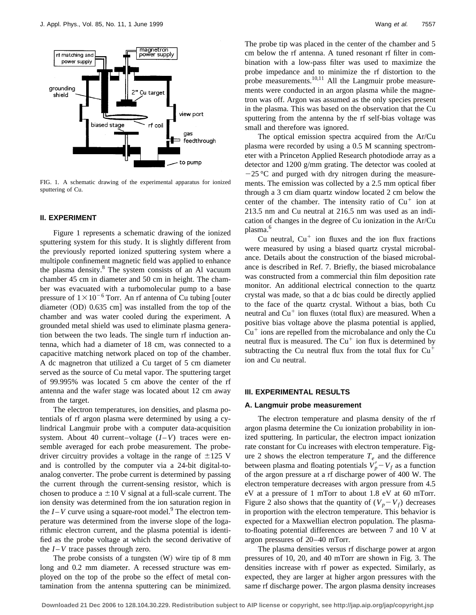

FIG. 1. A schematic drawing of the experimental apparatus for ionized sputtering of Cu.

# **II. EXPERIMENT**

Figure 1 represents a schematic drawing of the ionized sputtering system for this study. It is slightly different from the previously reported ionized sputtering system where a multipole confinement magnetic field was applied to enhance the plasma density.<sup>8</sup> The system consists of an Al vacuum chamber 45 cm in diameter and 50 cm in height. The chamber was evacuated with a turbomolecular pump to a base pressure of  $1 \times 10^{-6}$  Torr. An rf antenna of Cu tubing [outer diameter  $(OD)$  0.635 cm] was installed from the top of the chamber and was water cooled during the experiment. A grounded metal shield was used to eliminate plasma generation between the two leads. The single turn rf induction antenna, which had a diameter of 18 cm, was connected to a capacitive matching network placed on top of the chamber. A dc magnetron that utilized a Cu target of 5 cm diameter served as the source of Cu metal vapor. The sputtering target of 99.995% was located 5 cm above the center of the rf antenna and the wafer stage was located about 12 cm away from the target.

The electron temperatures, ion densities, and plasma potentials of rf argon plasma were determined by using a cylindrical Langmuir probe with a computer data-acquisition system. About 40 current–voltage  $(I-V)$  traces were ensemble averaged for each probe measurement. The probedriver circuitry provides a voltage in the range of  $\pm 125$  V and is controlled by the computer via a 24-bit digital-toanalog converter. The probe current is determined by passing the current through the current-sensing resistor, which is chosen to produce a  $\pm 10$  V signal at a full-scale current. The ion density was determined from the ion saturation region in the  $I-V$  curve using a square-root model.<sup>9</sup> The electron temperature was determined from the inverse slope of the logarithmic electron current, and the plasma potential is identified as the probe voltage at which the second derivative of the  $I - V$  trace passes through zero.

The probe consists of a tungsten  $(W)$  wire tip of 8 mm long and 0.2 mm diameter. A recessed structure was employed on the top of the probe so the effect of metal contamination from the antenna sputtering can be minimized. The probe tip was placed in the center of the chamber and 5 cm below the rf antenna. A tuned resonant rf filter in combination with a low-pass filter was used to maximize the probe impedance and to minimize the rf distortion to the probe measurements.<sup>10,11</sup> All the Langmuir probe measurements were conducted in an argon plasma while the magnetron was off. Argon was assumed as the only species present in the plasma. This was based on the observation that the Cu sputtering from the antenna by the rf self-bias voltage was small and therefore was ignored.

The optical emission spectra acquired from the Ar/Cu plasma were recorded by using a 0.5 M scanning spectrometer with a Princeton Applied Research photodiode array as a detector and 1200 g/mm grating. The detector was cooled at  $-25$  °C and purged with dry nitrogen during the measurements. The emission was collected by a 2.5 mm optical fiber through a 3 cm diam quartz window located 2 cm below the center of the chamber. The intensity ratio of  $Cu<sup>+</sup>$  ion at 213.5 nm and Cu neutral at 216.5 nm was used as an indication of changes in the degree of Cu ionization in the Ar/Cu plasma.<sup>6</sup>

Cu neutral,  $Cu<sup>+</sup>$  ion fluxes and the ion flux fractions were measured by using a biased quartz crystal microbalance. Details about the construction of the biased microbalance is described in Ref. 7. Briefly, the biased microbalance was constructed from a commercial thin film deposition rate monitor. An additional electrical connection to the quartz crystal was made, so that a dc bias could be directly applied to the face of the quartz crystal. Without a bias, both Cu neutral and  $Cu<sup>+</sup>$  ion fluxes (total flux) are measured. When a positive bias voltage above the plasma potential is applied,  $Cu<sup>+</sup>$  ions are repelled from the microbalance and only the Cu neutral flux is measured. The  $Cu<sup>+</sup>$  ion flux is determined by subtracting the Cu neutral flux from the total flux for  $Cu<sup>+</sup>$ ion and Cu neutral.

# **III. EXPERIMENTAL RESULTS**

#### **A. Langmuir probe measurement**

The electron temperature and plasma density of the rf argon plasma determine the Cu ionization probability in ionized sputtering. In particular, the electron impact ionization rate constant for Cu increases with electron temperature. Figure 2 shows the electron temperature  $T_e$  and the difference between plasma and floating potentials  $V'_p - V_f$  as a function of the argon pressure at a rf discharge power of 400 W. The electron temperature decreases with argon pressure from 4.5 eV at a pressure of 1 mTorr to about 1.8 eV at 60 mTorr. Figure 2 also shows that the quantity of  $(V_p - V_f)$  decreases in proportion with the electron temperature. This behavior is expected for a Maxwellian electron population. The plasmato-floating potential differences are between 7 and 10 V at argon pressures of 20–40 mTorr.

The plasma densities versus rf discharge power at argon pressures of 10, 20, and 40 mTorr are shown in Fig. 3. The densities increase with rf power as expected. Similarly, as expected, they are larger at higher argon pressures with the same rf discharge power. The argon plasma density increases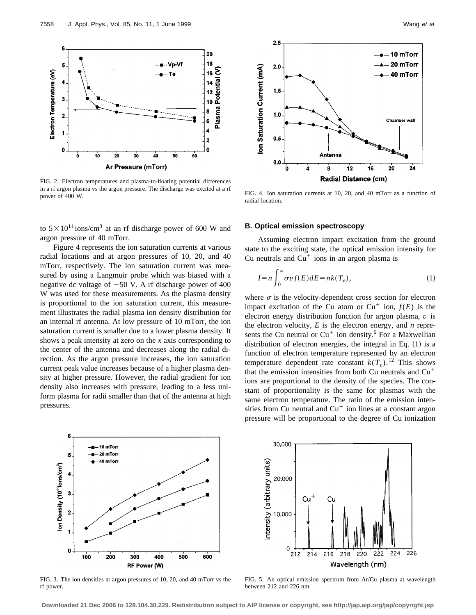

FIG. 2. Electron temperatures and plasma-to-floating potential differences in a rf argon plasma vs the argon pressure. The discharge was excited at a rf power of 400 W.

to  $5 \times 10^{11}$  ions/cm<sup>3</sup> at an rf discharge power of 600 W and argon pressure of 40 mTorr.

Figure 4 represents the ion saturation currents at various radial locations and at argon pressures of 10, 20, and 40 mTorr, respectively. The ion saturation current was measured by using a Langmuir probe which was biased with a negative dc voltage of  $-50$  V. A rf discharge power of 400 W was used for these measurements. As the plasma density is proportional to the ion saturation current, this measurement illustrates the radial plasma ion density distribution for an internal rf antenna. At low pressure of 10 mTorr, the ion saturation current is smaller due to a lower plasma density. It shows a peak intensity at zero on the *x* axis corresponding to the center of the antenna and decreases along the radial direction. As the argon pressure increases, the ion saturation current peak value increases because of a higher plasma density at higher pressure. However, the radial gradient for ion density also increases with pressure, leading to a less uniform plasma for radii smaller than that of the antenna at high pressures.



FIG. 4. Ion saturation currents at 10, 20, and 40 mTorr as a function of radial location.

# **B. Optical emission spectroscopy**

Assuming electron impact excitation from the ground state to the exciting state, the optical emission intensity for Cu neutrals and  $Cu<sup>+</sup>$  ions in an argon plasma is

$$
I = n \int_0^\infty \sigma v f(E) dE = n k(T_e), \tag{1}
$$

where  $\sigma$  is the velocity-dependent cross section for electron impact excitation of the Cu atom or  $Cu^+$  ion,  $f(E)$  is the electron energy distribution function for argon plasma, *v* is the electron velocity, *E* is the electron energy, and *n* represents the Cu neutral or  $Cu<sup>+</sup>$  ion density.<sup>6</sup> For a Maxwellian distribution of electron energies, the integral in Eq.  $(1)$  is a function of electron temperature represented by an electron temperature dependent rate constant  $k(T_e)$ .<sup>12</sup> This shows that the emission intensities from both Cu neutrals and  $Cu<sup>+</sup>$ ions are proportional to the density of the species. The constant of proportionality is the same for plasmas with the same electron temperature. The ratio of the emission intensities from Cu neutral and  $Cu<sup>+</sup>$  ion lines at a constant argon pressure will be proportional to the degree of Cu ionization



FIG. 3. The ion densities at argon pressures of 10, 20, and 40 mTorr vs the rf power.



FIG. 5. An optical emission spectrum from Ar/Cu plasma at wavelength between 212 and 226 nm.

**Downloaded 21 Dec 2006 to 128.104.30.229. Redistribution subject to AIP license or copyright, see http://jap.aip.org/jap/copyright.jsp**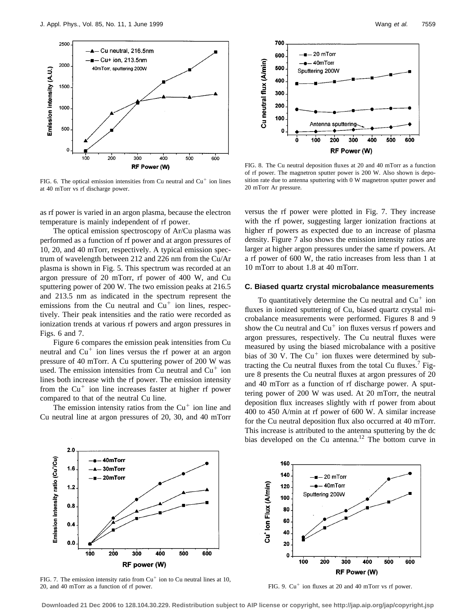

FIG. 6. The optical emission intensities from Cu neutral and  $Cu<sup>+</sup>$  ion lines at 40 mTorr vs rf discharge power.

as rf power is varied in an argon plasma, because the electron temperature is mainly independent of rf power.

The optical emission spectroscopy of Ar/Cu plasma was performed as a function of rf power and at argon pressures of 10, 20, and 40 mTorr, respectively. A typical emission spectrum of wavelength between 212 and 226 nm from the Cu/Ar plasma is shown in Fig. 5. This spectrum was recorded at an argon pressure of 20 mTorr, rf power of 400 W, and Cu sputtering power of 200 W. The two emission peaks at 216.5 and 213.5 nm as indicated in the spectrum represent the emissions from the Cu neutral and  $Cu<sup>+</sup>$  ion lines, respectively. Their peak intensities and the ratio were recorded as ionization trends at various rf powers and argon pressures in Figs. 6 and 7.

Figure 6 compares the emission peak intensities from Cu neutral and  $Cu<sup>+</sup>$  ion lines versus the rf power at an argon pressure of 40 mTorr. A Cu sputtering power of 200 W was used. The emission intensities from Cu neutral and  $Cu<sup>+</sup>$  ion lines both increase with the rf power. The emission intensity from the  $Cu<sup>+</sup>$  ion line increases faster at higher rf power compared to that of the neutral Cu line.

The emission intensity ratios from the  $Cu<sup>+</sup>$  ion line and Cu neutral line at argon pressures of 20, 30, and 40 mTorr



FIG. 8. The Cu neutral deposition fluxes at 20 and 40 mTorr as a function of rf power. The magnetron sputter power is 200 W. Also shown is deposition rate due to antenna sputtering with 0 W magnetron sputter power and 20 mTorr Ar pressure.

versus the rf power were plotted in Fig. 7. They increase with the rf power, suggesting larger ionization fractions at higher rf powers as expected due to an increase of plasma density. Figure 7 also shows the emission intensity ratios are larger at higher argon pressures under the same rf powers. At a rf power of 600 W, the ratio increases from less than 1 at 10 mTorr to about 1.8 at 40 mTorr.

# **C. Biased quartz crystal microbalance measurements**

To quantitatively determine the Cu neutral and  $Cu<sup>+</sup>$  ion fluxes in ionized sputtering of Cu, biased quartz crystal microbalance measurements were performed. Figures 8 and 9 show the Cu neutral and  $Cu<sup>+</sup>$  ion fluxes versus rf powers and argon pressures, respectively. The Cu neutral fluxes were measured by using the biased microbalance with a positive bias of 30 V. The  $Cu<sup>+</sup>$  ion fluxes were determined by subtracting the Cu neutral fluxes from the total Cu fluxes.<sup>7</sup> Figure 8 presents the Cu neutral fluxes at argon pressures of 20 and 40 mTorr as a function of rf discharge power. A sputtering power of 200 W was used. At 20 mTorr, the neutral deposition flux increases slightly with rf power from about 400 to 450 A/min at rf power of 600 W. A similar increase for the Cu neutral deposition flux also occurred at 40 mTorr. This increase is attributed to the antenna sputtering by the dc bias developed on the Cu antenna.<sup>12</sup> The bottom curve in



FIG. 7. The emission intensity ratio from  $Cu<sup>+</sup>$  ion to Cu neutral lines at 10, 20, and 40 mTorr as a function of rf power.



FIG. 9.  $Cu^+$  ion fluxes at 20 and 40 mTorr vs rf power.

**Downloaded 21 Dec 2006 to 128.104.30.229. Redistribution subject to AIP license or copyright, see http://jap.aip.org/jap/copyright.jsp**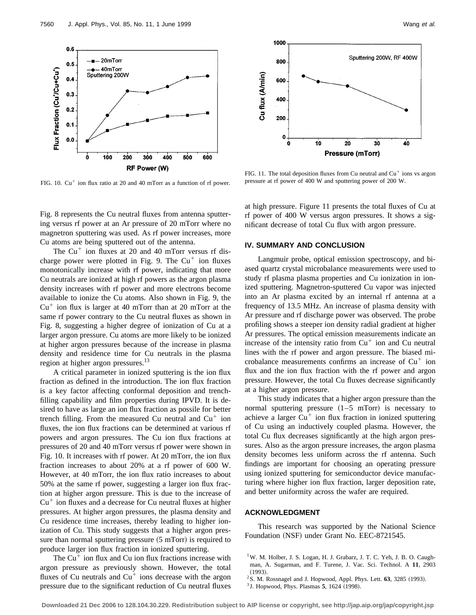

FIG. 10.  $Cu^{+}$  ion flux ratio at 20 and 40 mTorr as a function of rf power.

Fig. 8 represents the Cu neutral fluxes from antenna sputtering versus rf power at an Ar pressure of 20 mTorr where no magnetron sputtering was used. As rf power increases, more Cu atoms are being sputtered out of the antenna.

The  $Cu<sup>+</sup>$  ion fluxes at 20 and 40 mTorr versus rf discharge power were plotted in Fig. 9. The  $Cu<sup>+</sup>$  ion fluxes monotonically increase with rf power, indicating that more Cu neutrals are ionized at high rf powers as the argon plasma density increases with rf power and more electrons become available to ionize the Cu atoms. Also shown in Fig. 9, the  $Cu<sup>+</sup>$  ion flux is larger at 40 mTorr than at 20 mTorr at the same rf power contrary to the Cu neutral fluxes as shown in Fig. 8, suggesting a higher degree of ionization of Cu at a larger argon pressure. Cu atoms are more likely to be ionized at higher argon pressures because of the increase in plasma density and residence time for Cu neutrals in the plasma region at higher argon pressures.<sup>13</sup>

A critical parameter in ionized sputtering is the ion flux fraction as defined in the introduction. The ion flux fraction is a key factor affecting conformal deposition and trenchfilling capability and film properties during IPVD. It is desired to have as large an ion flux fraction as possile for better trench filling. From the measured Cu neutral and  $Cu<sup>+</sup>$  ion fluxes, the ion flux fractions can be determined at various rf powers and argon pressures. The Cu ion flux fractions at pressures of 20 and 40 mTorr versus rf power were shown in Fig. 10. It increases with rf power. At 20 mTorr, the ion flux fraction increases to about 20% at a rf power of 600 W. However, at 40 mTorr, the ion flux ratio increases to about 50% at the same rf power, suggesting a larger ion flux fraction at higher argon pressure. This is due to the increase of  $Cu<sup>+</sup>$  ion fluxes and a decrease for Cu neutral fluxes at higher pressures. At higher argon pressures, the plasma density and Cu residence time increases, thereby leading to higher ionization of Cu. This study suggests that a higher argon pressure than normal sputtering pressure  $(5 \text{ mTorr})$  is required to produce larger ion flux fraction in ionized sputtering.

The  $Cu<sup>+</sup>$  ion flux and Cu ion flux fractions increase with argon pressure as previously shown. However, the total fluxes of Cu neutrals and  $Cu<sup>+</sup>$  ions decrease with the argon pressure due to the significant reduction of Cu neutral fluxes



FIG. 11. The total deposition fluxes from Cu neutral and  $Cu<sup>+</sup>$  ions vs argon pressure at rf power of 400 W and sputtering power of 200 W.

at high pressure. Figure 11 presents the total fluxes of Cu at rf power of 400 W versus argon pressures. It shows a significant decrease of total Cu flux with argon pressure.

# **IV. SUMMARY AND CONCLUSION**

Langmuir probe, optical emission spectroscopy, and biased quartz crystal microbalance measurements were used to study rf plasma plasma properties and Cu ionization in ionized sputtering. Magnetron-sputtered Cu vapor was injected into an Ar plasma excited by an internal rf antenna at a frequency of 13.5 MHz. An increase of plasma density with Ar pressure and rf discharge power was observed. The probe profiling shows a steeper ion density radial gradient at higher Ar pressures. The optical emission measurements indicate an increase of the intensity ratio from  $Cu<sup>+</sup>$  ion and Cu neutral lines with the rf power and argon pressure. The biased microbalance measurements confirms an increase of  $Cu<sup>+</sup>$  ion flux and the ion flux fraction with the rf power and argon pressure. However, the total Cu fluxes decrease significantly at a higher argon pressure.

This study indicates that a higher argon pressure than the normal sputtering pressure  $(1–5$  mTorr) is necessary to achieve a larger  $Cu<sup>+</sup>$  ion flux fraction in ionized sputtering of Cu using an inductively coupled plasma. However, the total Cu flux decreases significantly at the high argon pressures. Also as the argon pressure increases, the argon plasma density becomes less uniform across the rf antenna. Such findings are important for choosing an operating pressure using ionized sputtering for semiconductor device manufacturing where higher ion flux fraction, larger deposition rate, and better uniformity across the wafer are required.

### **ACKNOWLEDGMENT**

This research was supported by the National Science Foundation (NSF) under Grant No. EEC-8721545.

 $2$ S. M. Rossnagel and J. Hopwood, Appl. Phys. Lett.  $63$ ,  $3285$  (1993).

<sup>&</sup>lt;sup>1</sup>W. M. Holber, J. S. Logan, H. J. Grabarz, J. T. C. Yeh, J. B. O. Caughman, A. Sugarman, and F. Turene, J. Vac. Sci. Technol. A **11**, 2903  $(1993).$ 

 $3^3$  J. Hopwood, Phys. Plasmas **5**, 1624 (1998).